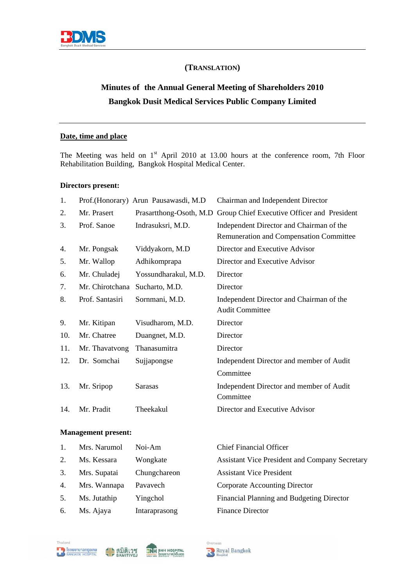

# **(TRANSLATION)**

 $\ddot{\phantom{a}}$ 

# **Minutes of the Annual General Meeting of Shareholders 2010 Bangkok Dusit Medical Services Public Company Limited**

### **Date, time and place**

The Meeting was held on  $1<sup>st</sup>$  April 2010 at 13.00 hours at the conference room, 7th Floor Rehabilitation Building, Bangkok Hospital Medical Center.

### **Directors present:**

| 1.  |                 | Prof.(Honorary) Arun Pausawasdi, M.D | Chairman and Independent Director                                                          |
|-----|-----------------|--------------------------------------|--------------------------------------------------------------------------------------------|
| 2.  | Mr. Prasert     | Prasartthong-Osoth, M.D              | Group Chief Executive Officer and President                                                |
| 3.  | Prof. Sanoe     | Indrasuksri, M.D.                    | Independent Director and Chairman of the<br><b>Remuneration and Compensation Committee</b> |
| 4.  | Mr. Pongsak     | Viddyakorn, M.D                      | Director and Executive Advisor                                                             |
| 5.  | Mr. Wallop      | Adhikomprapa                         | Director and Executive Advisor                                                             |
| 6.  | Mr. Chuladej    | Yossundharakul, M.D.                 | Director                                                                                   |
| 7.  | Mr. Chirotchana | Sucharto, M.D.                       | Director                                                                                   |
| 8.  | Prof. Santasiri | Sornmani, M.D.                       | Independent Director and Chairman of the<br><b>Audit Committee</b>                         |
| 9.  | Mr. Kitipan     | Visudharom, M.D.                     | Director                                                                                   |
| 10. | Mr. Chatree     | Duangnet, M.D.                       | Director                                                                                   |
| 11. | Mr. Thavatvong  | Thanasumitra                         | Director                                                                                   |
| 12. | Dr. Somchai     | Sujjapongse                          | Independent Director and member of Audit                                                   |
|     |                 |                                      | Committee                                                                                  |
| 13. | Mr. Sripop      | <b>Sarasas</b>                       | Independent Director and member of Audit<br>Committee                                      |
| 14. | Mr. Pradit      | Theekakul                            | Director and Executive Advisor                                                             |

### **Management present:**

| 1. | Mrs. Narumol | Noi-Am        | <b>Chief Financial Officer</b>                        |
|----|--------------|---------------|-------------------------------------------------------|
| 2. | Ms. Kessara  | Wongkate      | <b>Assistant Vice President and Company Secretary</b> |
| 3. | Mrs. Supatai | Chungchareon  | <b>Assistant Vice President</b>                       |
| 4. | Mrs. Wannapa | Pavavech      | Corporate Accounting Director                         |
| 5. | Ms. Jutathip | Yingchol      | Financial Planning and Budgeting Director             |
| 6. | Ms. Ajaya    | Intaraprasong | <b>Finance Director</b>                               |
|    |              |               |                                                       |





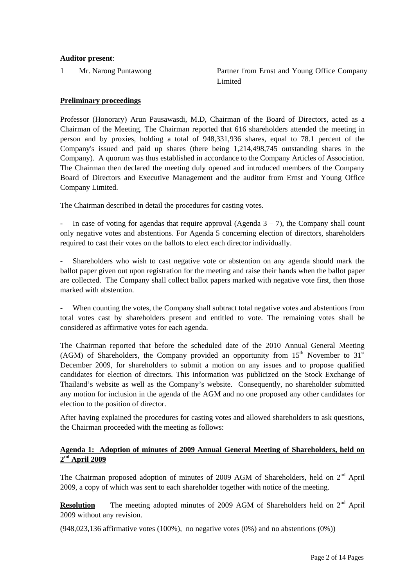### **Auditor present**:

1 Mr. Narong Puntawong **Partner from Ernst and Young Office Company** Limited

#### **Preliminary proceedings**

Professor (Honorary) Arun Pausawasdi, M.D, Chairman of the Board of Directors, acted as a Chairman of the Meeting. The Chairman reported that 616 shareholders attended the meeting in person and by proxies, holding a total of 948,331,936 shares, equal to 78.1 percent of the Company's issued and paid up shares (there being 1,214,498,745 outstanding shares in the Company). A quorum was thus established in accordance to the Company Articles of Association. The Chairman then declared the meeting duly opened and introduced members of the Company Board of Directors and Executive Management and the auditor from Ernst and Young Office Company Limited.

The Chairman described in detail the procedures for casting votes.

In case of voting for agendas that require approval (Agenda  $3 - 7$ ), the Company shall count only negative votes and abstentions. For Agenda 5 concerning election of directors, shareholders required to cast their votes on the ballots to elect each director individually.

- Shareholders who wish to cast negative vote or abstention on any agenda should mark the ballot paper given out upon registration for the meeting and raise their hands when the ballot paper are collected. The Company shall collect ballot papers marked with negative vote first, then those marked with abstention.

When counting the votes, the Company shall subtract total negative votes and abstentions from total votes cast by shareholders present and entitled to vote. The remaining votes shall be considered as affirmative votes for each agenda.

The Chairman reported that before the scheduled date of the 2010 Annual General Meeting (AGM) of Shareholders, the Company provided an opportunity from  $15<sup>th</sup>$  November to  $31<sup>st</sup>$ December 2009, for shareholders to submit a motion on any issues and to propose qualified candidates for election of directors. This information was publicized on the Stock Exchange of Thailand's website as well as the Company's website. Consequently, no shareholder submitted any motion for inclusion in the agenda of the AGM and no one proposed any other candidates for election to the position of director.

After having explained the procedures for casting votes and allowed shareholders to ask questions, the Chairman proceeded with the meeting as follows:

### **Agenda 1: Adoption of minutes of 2009 Annual General Meeting of Shareholders, held on 2nd April 2009**

The Chairman proposed adoption of minutes of 2009 AGM of Shareholders, held on 2<sup>nd</sup> April 2009, a copy of which was sent to each shareholder together with notice of the meeting.

**Resolution** The meeting adopted minutes of 2009 AGM of Shareholders held on 2<sup>nd</sup> April 2009 without any revision.

(948,023,136 affirmative votes (100%), no negative votes (0%) and no abstentions (0%))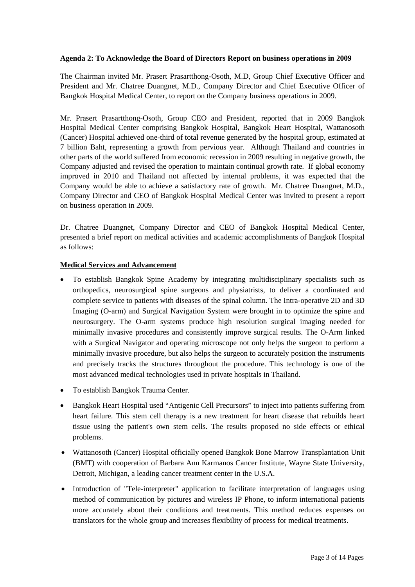### **Agenda 2: To Acknowledge the Board of Directors Report on business operations in 2009**

The Chairman invited Mr. Prasert Prasartthong-Osoth, M.D, Group Chief Executive Officer and President and Mr. Chatree Duangnet, M.D., Company Director and Chief Executive Officer of Bangkok Hospital Medical Center, to report on the Company business operations in 2009.

Mr. Prasert Prasartthong-Osoth, Group CEO and President, reported that in 2009 Bangkok Hospital Medical Center comprising Bangkok Hospital, Bangkok Heart Hospital, Wattanosoth (Cancer) Hospital achieved one-third of total revenue generated by the hospital group, estimated at 7 billion Baht, representing a growth from pervious year. Although Thailand and countries in other parts of the world suffered from economic recession in 2009 resulting in negative growth, the Company adjusted and revised the operation to maintain continual growth rate. If global economy improved in 2010 and Thailand not affected by internal problems, it was expected that the Company would be able to achieve a satisfactory rate of growth. Mr. Chatree Duangnet, M.D., Company Director and CEO of Bangkok Hospital Medical Center was invited to present a report on business operation in 2009.

Dr. Chatree Duangnet, Company Director and CEO of Bangkok Hospital Medical Center, presented a brief report on medical activities and academic accomplishments of Bangkok Hospital as follows:

# **Medical Services and Advancement**

- To establish Bangkok Spine Academy by integrating multidisciplinary specialists such as orthopedics, neurosurgical spine surgeons and physiatrists, to deliver a coordinated and complete service to patients with diseases of the spinal column. The Intra-operative 2D and 3D Imaging (O-arm) and Surgical Navigation System were brought in to optimize the spine and neurosurgery. The O-arm systems produce high resolution surgical imaging needed for minimally invasive procedures and consistently improve surgical results. The O-Arm linked with a Surgical Navigator and operating microscope not only helps the surgeon to perform a minimally invasive procedure, but also helps the surgeon to accurately position the instruments and precisely tracks the structures throughout the procedure. This technology is one of the most advanced medical technologies used in private hospitals in Thailand.
- To establish Bangkok Trauma Center.
- Bangkok Heart Hospital used "Antigenic Cell Precursors" to inject into patients suffering from heart failure. This stem cell therapy is a new treatment for heart disease that rebuilds heart tissue using the patient's own stem cells. The results proposed no side effects or ethical problems.
- Wattanosoth (Cancer) Hospital officially opened Bangkok Bone Marrow Transplantation Unit (BMT) with cooperation of Barbara Ann Karmanos Cancer Institute, Wayne State University, Detroit, Michigan, a leading cancer treatment center in the U.S.A.
- Introduction of "Tele-interpreter" application to facilitate interpretation of languages using method of communication by pictures and wireless IP Phone, to inform international patients more accurately about their conditions and treatments. This method reduces expenses on translators for the whole group and increases flexibility of process for medical treatments.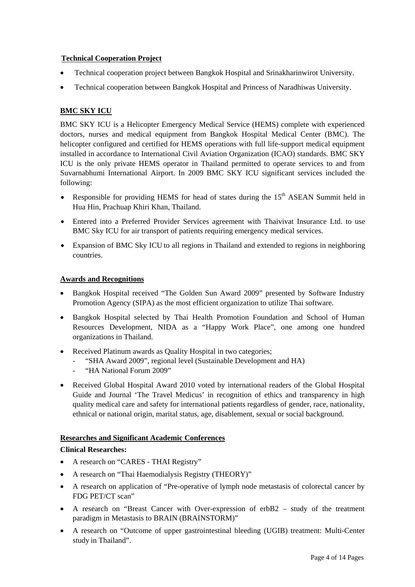# **Technical Cooperation Project**

- Technical cooperation project between Bangkok Hospital and Srinakharinwirot University.
- Technical cooperation between Bangkok Hospital and Princess of Naradhiwas University.

# **BMC SKY ICU**

BMC SKY ICU is a Helicopter Emergency Medical Service (HEMS) complete with experienced doctors, nurses and medical equipment from Bangkok Hospital Medical Center (BMC). The helicopter configured and certified for HEMS operations with full life-support medical equipment installed in accordance to International Civil Aviation Organization (ICAO) standards. BMC SKY ICU is the only private HEMS operator in Thailand permitted to operate services to and from Suvarnabhumi International Airport. In 2009 BMC SKY ICU significant services included the following:

- Responsible for providing HEMS for head of states during the  $15<sup>th</sup>$  ASEAN Summit held in Hua Hin, Prachuap Khiri Khan, Thailand.
- Entered into a Preferred Provider Services agreement with Thaivivat Insurance Ltd. to use BMC Sky ICU for air transport of patients requiring emergency medical services.
- Expansion of BMC Sky ICU to all regions in Thailand and extended to regions in neighboring countries.

# **Awards and Recognitions**

- Bangkok Hospital received "The Golden Sun Award 2009" presented by Software Industry Promotion Agency (SIPA) as the most efficient organization to utilize Thai software.
- Bangkok Hospital selected by Thai Health Promotion Foundation and School of Human Resources Development, NIDA as a "Happy Work Place", one among one hundred organizations in Thailand.
- Received Platinum awards as Quality Hospital in two categories;
	- "SHA Award 2009", regional level (Sustainable Development and HA)
	- "HA National Forum 2009"
- Received Global Hospital Award 2010 voted by international readers of the Global Hospital Guide and Journal 'The Travel Medicus' in recognition of ethics and transparency in high quality medical care and safety for international patients regardless of gender, race, nationality, ethnical or national origin, marital status, age, disablement, sexual or social background.

# **Researches and Significant Academic Conferences**

# **Clinical Researches:**

- A research on "CARES THAI Registry"
- A research on "Thai Haemodialysis Registry (THEORY)"
- A research on application of "Pre-operative of lymph node metastasis of colorectal cancer by FDG PET/CT scan"
- A research on "Breast Cancer with Over-expression of erbB2 study of the treatment paradigm in Metastasis to BRAIN (BRAINSTORM)"
- A research on "Outcome of upper gastrointestinal bleeding (UGIB) treatment: Multi-Center study in Thailand".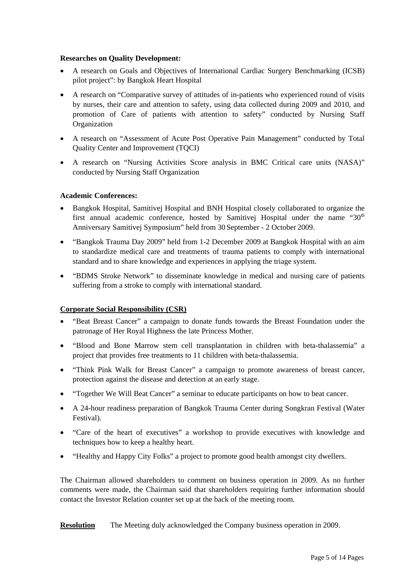#### **Researches on Quality Development:**

- A research on Goals and Objectives of International Cardiac Surgery Benchmarking (ICSB) pilot project": by Bangkok Heart Hospital
- A research on "Comparative survey of attitudes of in-patients who experienced round of visits by nurses, their care and attention to safety, using data collected during 2009 and 2010, and promotion of Care of patients with attention to safety" conducted by Nursing Staff Organization
- A research on "Assessment of Acute Post Operative Pain Management" conducted by Total Quality Center and Improvement (TQCI)
- A research on "Nursing Activities Score analysis in BMC Critical care units (NASA)" conducted by Nursing Staff Organization

### **Academic Conferences:**

- Bangkok Hospital, Samitivej Hospital and BNH Hospital closely collaborated to organize the first annual academic conference, hosted by Samitivei Hospital under the name "30<sup>th</sup> Anniversary Samitivej Symposium" held from 30 September - 2 October 2009.
- "Bangkok Trauma Day 2009" held from 1-2 December 2009 at Bangkok Hospital with an aim to standardize medical care and treatments of trauma patients to comply with international standard and to share knowledge and experiences in applying the triage system.
- "BDMS Stroke Network" to disseminate knowledge in medical and nursing care of patients suffering from a stroke to comply with international standard.

# **Corporate Social Responsibility (CSR)**

- "Beat Breast Cancer" a campaign to donate funds towards the Breast Foundation under the patronage of Her Royal Highness the late Princess Mother.
- "Blood and Bone Marrow stem cell transplantation in children with beta-thalassemia" a project that provides free treatments to 11 children with beta-thalassemia.
- "Think Pink Walk for Breast Cancer" a campaign to promote awareness of breast cancer, protection against the disease and detection at an early stage.
- "Together We Will Beat Cancer" a seminar to educate participants on how to beat cancer.
- A 24-hour readiness preparation of Bangkok Trauma Center during Songkran Festival (Water Festival).
- "Care of the heart of executives" a workshop to provide executives with knowledge and techniques how to keep a healthy heart.
- "Healthy and Happy City Folks" a project to promote good health amongst city dwellers.

The Chairman allowed shareholders to comment on business operation in 2009. As no further comments were made, the Chairman said that shareholders requiring further information should contact the Investor Relation counter set up at the back of the meeting room.

**Resolution** The Meeting duly acknowledged the Company business operation in 2009.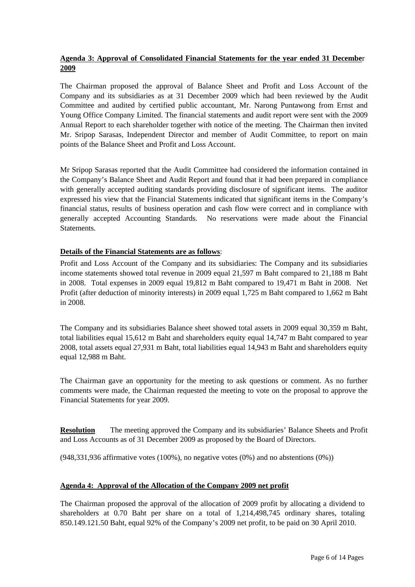# **Agenda 3: Approval of Consolidated Financial Statements for the year ended 31 Decembe**r **2009**

The Chairman proposed the approval of Balance Sheet and Profit and Loss Account of the Company and its subsidiaries as at 31 December 2009 which had been reviewed by the Audit Committee and audited by certified public accountant, Mr. Narong Puntawong from Ernst and Young Office Company Limited. The financial statements and audit report were sent with the 2009 Annual Report to each shareholder together with notice of the meeting. The Chairman then invited Mr. Sripop Sarasas, Independent Director and member of Audit Committee, to report on main points of the Balance Sheet and Profit and Loss Account.

Mr Sripop Sarasas reported that the Audit Committee had considered the information contained in the Company's Balance Sheet and Audit Report and found that it had been prepared in compliance with generally accepted auditing standards providing disclosure of significant items. The auditor expressed his view that the Financial Statements indicated that significant items in the Company's financial status, results of business operation and cash flow were correct and in compliance with generally accepted Accounting Standards. No reservations were made about the Financial **Statements** 

### **Details of the Financial Statements are as follows**:

Profit and Loss Account of the Company and its subsidiaries: The Company and its subsidiaries income statements showed total revenue in 2009 equal 21,597 m Baht compared to 21,188 m Baht in 2008. Total expenses in 2009 equal 19,812 m Baht compared to 19,471 m Baht in 2008. Net Profit (after deduction of minority interests) in 2009 equal 1,725 m Baht compared to 1,662 m Baht in 2008.

The Company and its subsidiaries Balance sheet showed total assets in 2009 equal 30,359 m Baht, total liabilities equal 15,612 m Baht and shareholders equity equal 14,747 m Baht compared to year 2008, total assets equal 27,931 m Baht, total liabilities equal 14,943 m Baht and shareholders equity equal 12,988 m Baht.

The Chairman gave an opportunity for the meeting to ask questions or comment. As no further comments were made, the Chairman requested the meeting to vote on the proposal to approve the Financial Statements for year 2009.

**Resolution** The meeting approved the Company and its subsidiaries' Balance Sheets and Profit and Loss Accounts as of 31 December 2009 as proposed by the Board of Directors.

(948,331,936 affirmative votes (100%), no negative votes (0%) and no abstentions (0%))

### **Agenda 4: Approval of the Allocation of the Company 2009 net profit**

The Chairman proposed the approval of the allocation of 2009 profit by allocating a dividend to shareholders at 0.70 Baht per share on a total of 1,214,498,745 ordinary shares, totaling 850.149.121.50 Baht, equal 92% of the Company's 2009 net profit, to be paid on 30 April 2010.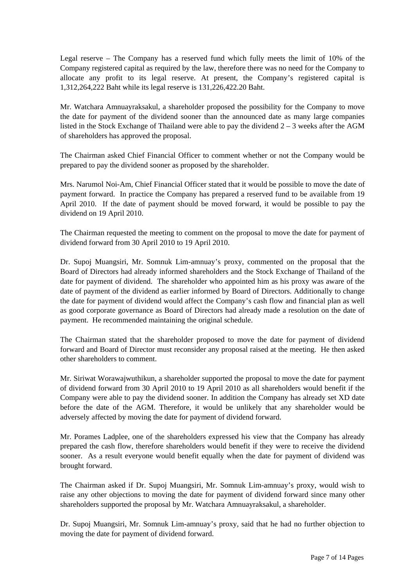Legal reserve – The Company has a reserved fund which fully meets the limit of 10% of the Company registered capital as required by the law, therefore there was no need for the Company to allocate any profit to its legal reserve. At present, the Company's registered capital is 1,312,264,222 Baht while its legal reserve is 131,226,422.20 Baht.

Mr. Watchara Amnuayraksakul, a shareholder proposed the possibility for the Company to move the date for payment of the dividend sooner than the announced date as many large companies listed in the Stock Exchange of Thailand were able to pay the dividend  $2 - 3$  weeks after the AGM of shareholders has approved the proposal.

The Chairman asked Chief Financial Officer to comment whether or not the Company would be prepared to pay the dividend sooner as proposed by the shareholder.

Mrs. Narumol Noi-Am, Chief Financial Officer stated that it would be possible to move the date of payment forward. In practice the Company has prepared a reserved fund to be available from 19 April 2010. If the date of payment should be moved forward, it would be possible to pay the dividend on 19 April 2010.

The Chairman requested the meeting to comment on the proposal to move the date for payment of dividend forward from 30 April 2010 to 19 April 2010.

Dr. Supoj Muangsiri, Mr. Somnuk Lim-amnuay's proxy, commented on the proposal that the Board of Directors had already informed shareholders and the Stock Exchange of Thailand of the date for payment of dividend. The shareholder who appointed him as his proxy was aware of the date of payment of the dividend as earlier informed by Board of Directors. Additionally to change the date for payment of dividend would affect the Company's cash flow and financial plan as well as good corporate governance as Board of Directors had already made a resolution on the date of payment. He recommended maintaining the original schedule.

The Chairman stated that the shareholder proposed to move the date for payment of dividend forward and Board of Director must reconsider any proposal raised at the meeting. He then asked other shareholders to comment.

Mr. Siriwat Worawajwuthikun, a shareholder supported the proposal to move the date for payment of dividend forward from 30 April 2010 to 19 April 2010 as all shareholders would benefit if the Company were able to pay the dividend sooner. In addition the Company has already set XD date before the date of the AGM. Therefore, it would be unlikely that any shareholder would be adversely affected by moving the date for payment of dividend forward.

Mr. Porames Ladplee, one of the shareholders expressed his view that the Company has already prepared the cash flow, therefore shareholders would benefit if they were to receive the dividend sooner. As a result everyone would benefit equally when the date for payment of dividend was brought forward.

The Chairman asked if Dr. Supoj Muangsiri, Mr. Somnuk Lim-amnuay's proxy, would wish to raise any other objections to moving the date for payment of dividend forward since many other shareholders supported the proposal by Mr. Watchara Amnuayraksakul, a shareholder.

Dr. Supoj Muangsiri, Mr. Somnuk Lim-amnuay's proxy, said that he had no further objection to moving the date for payment of dividend forward.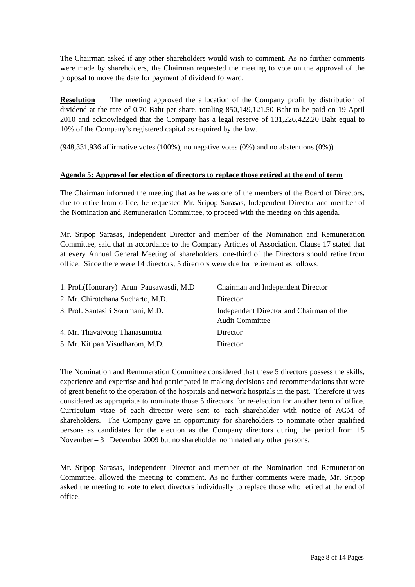The Chairman asked if any other shareholders would wish to comment. As no further comments were made by shareholders, the Chairman requested the meeting to vote on the approval of the proposal to move the date for payment of dividend forward.

**Resolution** The meeting approved the allocation of the Company profit by distribution of dividend at the rate of 0.70 Baht per share, totaling 850,149,121.50 Baht to be paid on 19 April 2010 and acknowledged that the Company has a legal reserve of 131,226,422.20 Baht equal to 10% of the Company's registered capital as required by the law.

(948,331,936 affirmative votes (100%), no negative votes (0%) and no abstentions (0%))

### **Agenda 5: Approval for election of directors to replace those retired at the end of term**

The Chairman informed the meeting that as he was one of the members of the Board of Directors, due to retire from office, he requested Mr. Sripop Sarasas, Independent Director and member of the Nomination and Remuneration Committee, to proceed with the meeting on this agenda.

Mr. Sripop Sarasas, Independent Director and member of the Nomination and Remuneration Committee, said that in accordance to the Company Articles of Association, Clause 17 stated that at every Annual General Meeting of shareholders, one-third of the Directors should retire from office. Since there were 14 directors, 5 directors were due for retirement as follows:

| 1. Prof. (Honorary) Arun Pausawasdi, M.D. | <b>Chairman and Independent Director</b>                           |
|-------------------------------------------|--------------------------------------------------------------------|
| 2. Mr. Chirotchana Sucharto, M.D.         | Director                                                           |
| 3. Prof. Santasiri Sornmani, M.D.         | Independent Director and Chairman of the<br><b>Audit Committee</b> |
| 4. Mr. Thavatvong Thanasumitra            | Director                                                           |
| 5. Mr. Kitipan Visudharom, M.D.           | Director                                                           |

The Nomination and Remuneration Committee considered that these 5 directors possess the skills, experience and expertise and had participated in making decisions and recommendations that were of great benefit to the operation of the hospitals and network hospitals in the past. Therefore it was considered as appropriate to nominate those 5 directors for re-election for another term of office. Curriculum vitae of each director were sent to each shareholder with notice of AGM of shareholders. The Company gave an opportunity for shareholders to nominate other qualified persons as candidates for the election as the Company directors during the period from 15 November – 31 December 2009 but no shareholder nominated any other persons.

Mr. Sripop Sarasas, Independent Director and member of the Nomination and Remuneration Committee, allowed the meeting to comment. As no further comments were made, Mr. Sripop asked the meeting to vote to elect directors individually to replace those who retired at the end of office.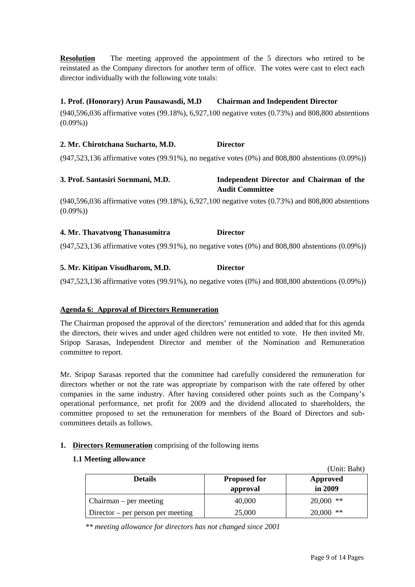**Resolution** The meeting approved the appointment of the 5 directors who retired to be reinstated as the Company directors for another term of office. The votes were cast to elect each director individually with the following vote totals:

# **1. Prof. (Honorary) Arun Pausawasdi, M.D Chairman and Independent Director**

(940,596,036 affirmative votes (99.18%), 6,927,100 negative votes (0.73%) and 808,800 abstentions  $(0.09\%)$ 

### **2. Mr. Chirotchana Sucharto, M.D. Director**

(947,523,136 affirmative votes (99.91%), no negative votes (0%) and 808,800 abstentions (0.09%))

### **3. Prof. Santasiri Sornmani, M.D. Independent Director and Chairman of the Audit Committee**

(940,596,036 affirmative votes (99.18%), 6,927,100 negative votes (0.73%) and 808,800 abstentions  $(0.09\%)$ 

### **4. Mr. Thavatvong Thanasumitra Director**

(947,523,136 affirmative votes (99.91%), no negative votes (0%) and 808,800 abstentions (0.09%))

### **5. Mr. Kitipan Visudharom, M.D. Director**

(947,523,136 affirmative votes (99.91%), no negative votes (0%) and 808,800 abstentions (0.09%))

### **Agenda 6: Approval of Directors Remuneration**

The Chairman proposed the approval of the directors' remuneration and added that for this agenda the directors, their wives and under aged children were not entitled to vote. He then invited Mr. Sripop Sarasas, Independent Director and member of the Nomination and Remuneration committee to report.

Mr. Sripop Sarasas reported that the committee had carefully considered the remuneration for directors whether or not the rate was appropriate by comparison with the rate offered by other companies in the same industry. After having considered other points such as the Company's operational performance, net profit for 2009 and the dividend allocated to shareholders, the committee proposed to set the remuneration for members of the Board of Directors and subcommittees details as follows.

### **1. Directors Remuneration** comprising of the following items

### **1.1 Meeting allowance**

|                                   |                                 | (Unit: Baht)        |
|-----------------------------------|---------------------------------|---------------------|
| <b>Details</b>                    | <b>Proposed for</b><br>approval | Approved<br>in 2009 |
| Chairman – per meeting            | 40,000                          | $20,000$ **         |
| Director – per person per meeting | 25,000                          | $20,000$ **         |

*\*\* meeting allowance for directors has not changed since 2001*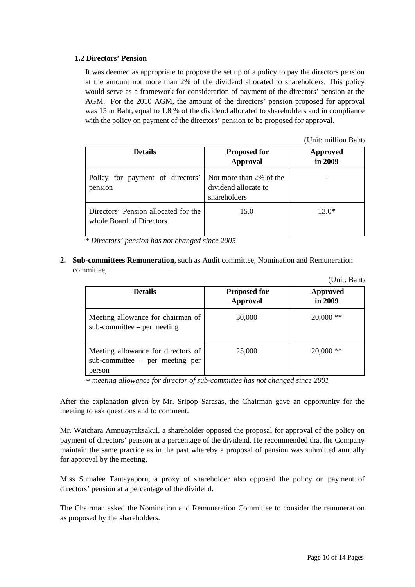### **1.2 Directors' Pension**

It was deemed as appropriate to propose the set up of a policy to pay the directors pension at the amount not more than 2% of the dividend allocated to shareholders. This policy would serve as a framework for consideration of payment of the directors' pension at the AGM. For the 2010 AGM, the amount of the directors' pension proposed for approval was 15 m Baht, equal to 1.8 % of the dividend allocated to shareholders and in compliance with the policy on payment of the directors' pension to be proposed for approval.

(Unit: million Baht)

| <b>Details</b>                                                    | <b>Proposed for</b><br><b>Approval</b>                          | <b>Approved</b><br>in 2009 |
|-------------------------------------------------------------------|-----------------------------------------------------------------|----------------------------|
| Policy for payment of directors'<br>pension                       | Not more than 2% of the<br>dividend allocate to<br>shareholders |                            |
| Directors' Pension allocated for the<br>whole Board of Directors. | 15.0                                                            | $13.0*$                    |

*\* Directors' pension has not changed since 2005* 

### **2. Sub-committees Remuneration**, such as Audit committee, Nomination and Remuneration committee,

|                                                                                    |                                        | (Unit: Baht)               |
|------------------------------------------------------------------------------------|----------------------------------------|----------------------------|
| <b>Details</b>                                                                     | <b>Proposed for</b><br><b>Approval</b> | <b>Approved</b><br>in 2009 |
| Meeting allowance for chairman of<br>$sub$ -committee – per meeting                | 30,000                                 | $20,000$ **                |
| Meeting allowance for directors of<br>$sub$ -committee – per meeting per<br>person | 25,000                                 | $20,000$ **                |

*\*\* meeting allowance for director of sub-committee has not changed since 2001* 

After the explanation given by Mr. Sripop Sarasas, the Chairman gave an opportunity for the meeting to ask questions and to comment.

Mr. Watchara Amnuayraksakul, a shareholder opposed the proposal for approval of the policy on payment of directors' pension at a percentage of the dividend. He recommended that the Company maintain the same practice as in the past whereby a proposal of pension was submitted annually for approval by the meeting.

Miss Sumalee Tantayaporn, a proxy of shareholder also opposed the policy on payment of directors' pension at a percentage of the dividend.

The Chairman asked the Nomination and Remuneration Committee to consider the remuneration as proposed by the shareholders.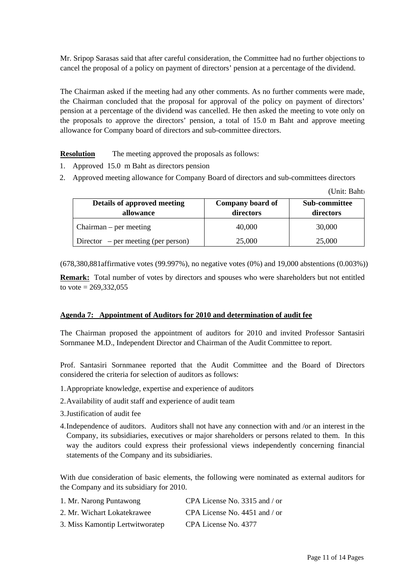Mr. Sripop Sarasas said that after careful consideration, the Committee had no further objections to cancel the proposal of a policy on payment of directors' pension at a percentage of the dividend.

The Chairman asked if the meeting had any other comments. As no further comments were made, the Chairman concluded that the proposal for approval of the policy on payment of directors' pension at a percentage of the dividend was cancelled. He then asked the meeting to vote only on the proposals to approve the directors' pension, a total of 15.0 m Baht and approve meeting allowance for Company board of directors and sub-committee directors.

**Resolution** The meeting approved the proposals as follows:

- 1. Approved 15.0 m Baht as directors pension
- 2. Approved meeting allowance for Company Board of directors and sub-committees directors

| Details of approved meeting<br>allowance | Company board of<br>directors | <b>Sub-committee</b><br>directors |
|------------------------------------------|-------------------------------|-----------------------------------|
| Chairman – per meeting                   | 40,000                        | 30,000                            |
| Director – per meeting (per person)      | 25,000                        | 25,000                            |

(678,380,881affirmative votes (99.997%), no negative votes (0%) and 19,000 abstentions (0.003%))

**Remark:** Total number of votes by directors and spouses who were shareholders but not entitled to vote =  $269,332,055$ 

### **Agenda 7: Appointment of Auditors for 2010 and determination of audit fee**

The Chairman proposed the appointment of auditors for 2010 and invited Professor Santasiri Sornmanee M.D., Independent Director and Chairman of the Audit Committee to report.

Prof. Santasiri Sornmanee reported that the Audit Committee and the Board of Directors considered the criteria for selection of auditors as follows:

- 1.Appropriate knowledge, expertise and experience of auditors
- 2.Availability of audit staff and experience of audit team
- 3.Justification of audit fee
- 4.Independence of auditors. Auditors shall not have any connection with and /or an interest in the Company, its subsidiaries, executives or major shareholders or persons related to them. In this way the auditors could express their professional views independently concerning financial statements of the Company and its subsidiaries.

With due consideration of basic elements, the following were nominated as external auditors for the Company and its subsidiary for 2010.

| 1. Mr. Narong Puntawong         | CPA License No. 3315 and / or   |
|---------------------------------|---------------------------------|
| 2. Mr. Wichart Lokatekrawee     | CPA License No. $4451$ and / or |
| 3. Miss Kamontip Lertwitworatep | CPA License No. 4377            |

(Unit: Baht)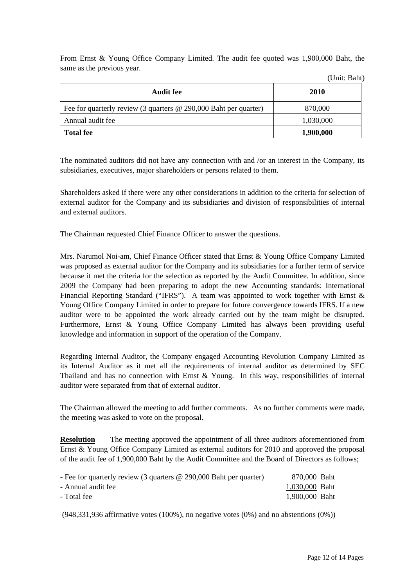From Ernst & Young Office Company Limited. The audit fee quoted was 1,900,000 Baht, the same as the previous year.

| Audit fee                                                        | 2010      |
|------------------------------------------------------------------|-----------|
| Fee for quarterly review (3 quarters @ 290,000 Baht per quarter) | 870,000   |
| Annual audit fee                                                 | 1,030,000 |
| <b>Total fee</b>                                                 | 1,900,000 |

The nominated auditors did not have any connection with and /or an interest in the Company, its subsidiaries, executives, major shareholders or persons related to them.

Shareholders asked if there were any other considerations in addition to the criteria for selection of external auditor for the Company and its subsidiaries and division of responsibilities of internal and external auditors.

The Chairman requested Chief Finance Officer to answer the questions.

Mrs. Narumol Noi-am, Chief Finance Officer stated that Ernst & Young Office Company Limited was proposed as external auditor for the Company and its subsidiaries for a further term of service because it met the criteria for the selection as reported by the Audit Committee. In addition, since 2009 the Company had been preparing to adopt the new Accounting standards: International Financial Reporting Standard ("IFRS"). A team was appointed to work together with Ernst & Young Office Company Limited in order to prepare for future convergence towards IFRS. If a new auditor were to be appointed the work already carried out by the team might be disrupted. Furthermore, Ernst & Young Office Company Limited has always been providing useful knowledge and information in support of the operation of the Company.

Regarding Internal Auditor, the Company engaged Accounting Revolution Company Limited as its Internal Auditor as it met all the requirements of internal auditor as determined by SEC Thailand and has no connection with Ernst & Young. In this way, responsibilities of internal auditor were separated from that of external auditor.

The Chairman allowed the meeting to add further comments. As no further comments were made, the meeting was asked to vote on the proposal.

**Resolution** The meeting approved the appointment of all three auditors aforementioned from Ernst & Young Office Company Limited as external auditors for 2010 and approved the proposal of the audit fee of 1,900,000 Baht by the Audit Committee and the Board of Directors as follows;

| - Fee for quarterly review (3 quarters $\omega$ 290,000 Baht per quarter) | 870,000 Baht   |
|---------------------------------------------------------------------------|----------------|
| - Annual audit fee                                                        | 1,030,000 Baht |
| - Total fee                                                               | 1,900,000 Baht |

 $(948,331,936$  affirmative votes  $(100\%)$ , no negative votes  $(0\%)$  and no abstentions  $(0\%)$ 

(Unit: Baht)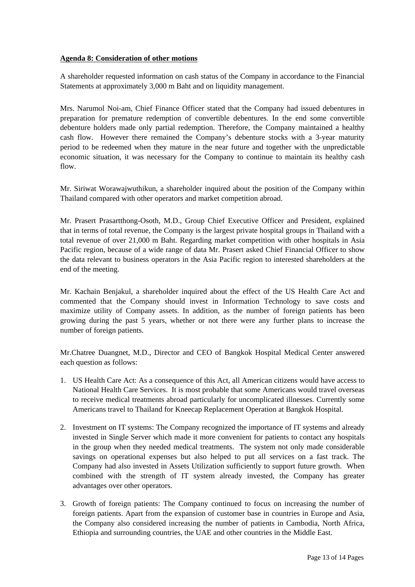### **Agenda 8: Consideration of other motions**

A shareholder requested information on cash status of the Company in accordance to the Financial Statements at approximately 3,000 m Baht and on liquidity management.

Mrs. Narumol Noi-am, Chief Finance Officer stated that the Company had issued debentures in preparation for premature redemption of convertible debentures. In the end some convertible debenture holders made only partial redemption. Therefore, the Company maintained a healthy cash flow. However there remained the Company's debenture stocks with a 3-year maturity period to be redeemed when they mature in the near future and together with the unpredictable economic situation, it was necessary for the Company to continue to maintain its healthy cash flow.

Mr. Siriwat Worawajwuthikun, a shareholder inquired about the position of the Company within Thailand compared with other operators and market competition abroad.

Mr. Prasert Prasartthong-Osoth, M.D., Group Chief Executive Officer and President, explained that in terms of total revenue, the Company is the largest private hospital groups in Thailand with a total revenue of over 21,000 m Baht. Regarding market competition with other hospitals in Asia Pacific region, because of a wide range of data Mr. Prasert asked Chief Financial Officer to show the data relevant to business operators in the Asia Pacific region to interested shareholders at the end of the meeting.

Mr. Kachain Benjakul, a shareholder inquired about the effect of the US Health Care Act and commented that the Company should invest in Information Technology to save costs and maximize utility of Company assets. In addition, as the number of foreign patients has been growing during the past 5 years, whether or not there were any further plans to increase the number of foreign patients.

Mr.Chatree Duangnet, M.D., Director and CEO of Bangkok Hospital Medical Center answered each question as follows:

- 1. US Health Care Act: As a consequence of this Act, all American citizens would have access to National Health Care Services. It is most probable that some Americans would travel overseas to receive medical treatments abroad particularly for uncomplicated illnesses. Currently some Americans travel to Thailand for Kneecap Replacement Operation at Bangkok Hospital.
- 2. Investment on IT systems: The Company recognized the importance of IT systems and already invested in Single Server which made it more convenient for patients to contact any hospitals in the group when they needed medical treatments. The system not only made considerable savings on operational expenses but also helped to put all services on a fast track. The Company had also invested in Assets Utilization sufficiently to support future growth. When combined with the strength of IT system already invested, the Company has greater advantages over other operators.
- 3. Growth of foreign patients: The Company continued to focus on increasing the number of foreign patients. Apart from the expansion of customer base in countries in Europe and Asia, the Company also considered increasing the number of patients in Cambodia, North Africa, Ethiopia and surrounding countries, the UAE and other countries in the Middle East.